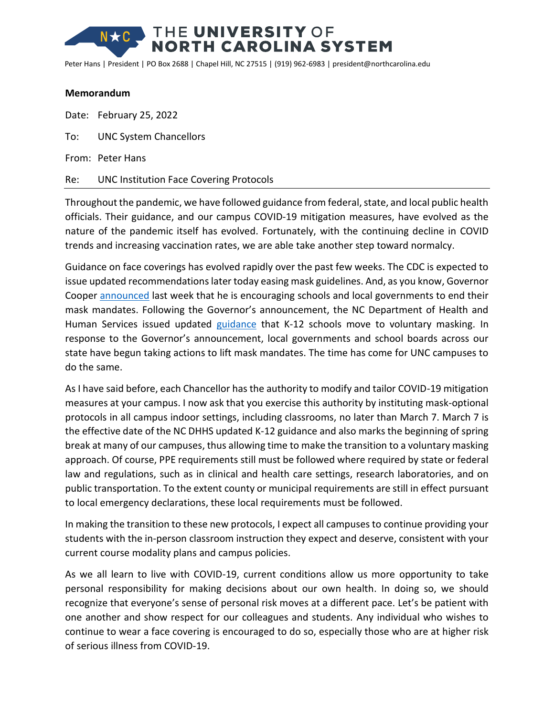## THE UNIVERSITY OF **NORTH CAROLINA SYSTEM**

Peter Hans | President | PO Box 2688 | Chapel Hill, NC 27515 | (919) 962-6983 | president@northcarolina.edu

## **Memorandum**

Date: February 25, 2022

To: UNC System Chancellors

From: Peter Hans

## Re: UNC Institution Face Covering Protocols

Throughout the pandemic, we have followed guidance from federal, state, and local public health officials. Their guidance, and our campus COVID-19 mitigation measures, have evolved as the nature of the pandemic itself has evolved. Fortunately, with the continuing decline in COVID trends and increasing vaccination rates, we are able take another step toward normalcy.

Guidance on face coverings has evolved rapidly over the past few weeks. The CDC is expected to issue updated recommendations later today easing mask guidelines. And, as you know, Governor Cooper [announced](https://governor.nc.gov/news/press-releases/2022/02/17/governor-cooper-and-state-health-officials-update-mask-recommendations) last week that he is encouraging schools and local governments to end their mask mandates. Following the Governor's announcement, the NC Department of Health and Human Services issued updated [guidance](https://covid19.ncdhhs.gov/media/3839/open) that K-12 schools move to voluntary masking. In response to the Governor's announcement, local governments and school boards across our state have begun taking actions to lift mask mandates. The time has come for UNC campuses to do the same.

As I have said before, each Chancellor has the authority to modify and tailor COVID-19 mitigation measures at your campus. I now ask that you exercise this authority by instituting mask-optional protocols in all campus indoor settings, including classrooms, no later than March 7. March 7 is the effective date of the NC DHHS updated K-12 guidance and also marks the beginning of spring break at many of our campuses, thus allowing time to make the transition to a voluntary masking approach. Of course, PPE requirements still must be followed where required by state or federal law and regulations, such as in clinical and health care settings, research laboratories, and on public transportation. To the extent county or municipal requirements are still in effect pursuant to local emergency declarations, these local requirements must be followed.

In making the transition to these new protocols, I expect all campuses to continue providing your students with the in-person classroom instruction they expect and deserve, consistent with your current course modality plans and campus policies.

As we all learn to live with COVID-19, current conditions allow us more opportunity to take personal responsibility for making decisions about our own health. In doing so, we should recognize that everyone's sense of personal risk moves at a different pace. Let's be patient with one another and show respect for our colleagues and students. Any individual who wishes to continue to wear a face covering is encouraged to do so, especially those who are at higher risk of serious illness from COVID-19.